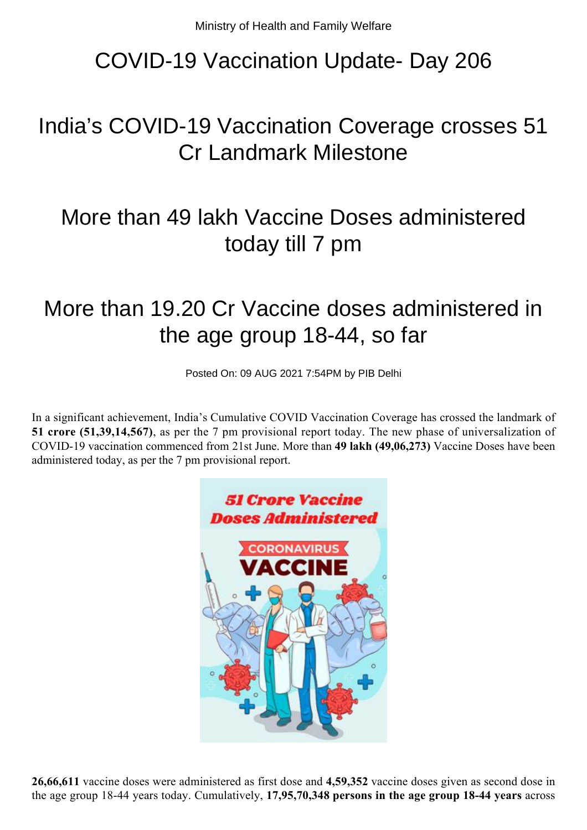# COVID-19 Vaccination Update- Day 206

# India's COVID-19 Vaccination Coverage crosses 51 Cr Landmark Milestone

### More than 49 lakh Vaccine Doses administered today till 7 pm

### More than 19.20 Cr Vaccine doses administered in the age group 18-44, so far

Posted On: 09 AUG 2021 7:54PM by PIB Delhi

In a significant achievement, India's Cumulative COVID Vaccination Coverage has crossed the landmark of **51 crore (51,39,14,567)**, as per the 7 pm provisional report today. The new phase of universalization of COVID-19 vaccination commenced from 21st June. More than **49 lakh (49,06,273)** Vaccine Doses have been administered today, as per the 7 pm provisional report.



**26,66,611** vaccine doses were administered as first dose and **4,59,352** vaccine doses given as second dose in the age group 18-44 years today. Cumulatively, **17,95,70,348 persons in the age group 18-44 years** across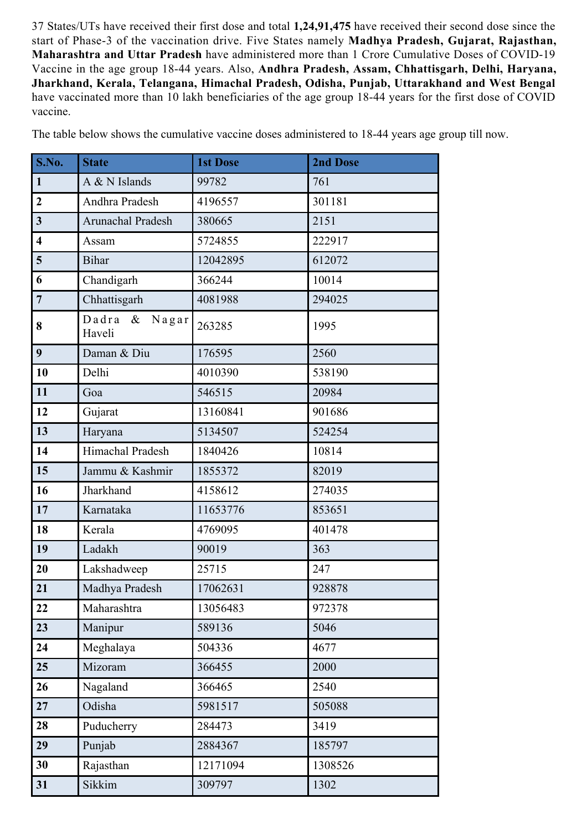37 States/UTs have received their first dose and total **1,24,91,475** have received their second dose since the start of Phase-3 of the vaccination drive. Five States namely **Madhya Pradesh, Gujarat, Rajasthan, Maharashtra and Uttar Pradesh** have administered more than 1 Crore Cumulative Doses of COVID-19 Vaccine in the age group 18-44 years. Also, **Andhra Pradesh, Assam, Chhattisgarh, Delhi, Haryana, Jharkhand, Kerala, Telangana, Himachal Pradesh, Odisha, Punjab, Uttarakhand and West Bengal** have vaccinated more than 10 lakh beneficiaries of the age group 18-44 years for the first dose of COVID vaccine.

| S.No.                   | <b>State</b>                     | <b>1st Dose</b> | <b>2nd Dose</b> |  |
|-------------------------|----------------------------------|-----------------|-----------------|--|
| $\mathbf{1}$            | A & N Islands                    | 99782           | 761             |  |
| $\overline{2}$          | Andhra Pradesh                   | 4196557         | 301181          |  |
| $\overline{3}$          | Arunachal Pradesh                | 380665          | 2151            |  |
| $\overline{\mathbf{4}}$ | Assam                            | 5724855         | 222917          |  |
| $5\overline{)}$         | <b>Bihar</b>                     | 12042895        | 612072          |  |
| 6                       | Chandigarh                       | 366244          | 10014           |  |
| $\overline{7}$          | Chhattisgarh                     | 4081988         | 294025          |  |
| 8                       | Dadra<br>$\&$<br>Nagar<br>Haveli | 263285          | 1995            |  |
| 9                       | Daman & Diu                      | 176595          | 2560            |  |
| 10                      | Delhi                            | 4010390         | 538190          |  |
| 11                      | Goa                              | 546515          | 20984           |  |
| 12                      | Gujarat                          | 13160841        | 901686          |  |
| 13                      | Haryana                          | 5134507         | 524254          |  |
| 14                      | Himachal Pradesh                 | 1840426         | 10814           |  |
| 15                      | Jammu & Kashmir                  | 1855372         | 82019           |  |
| 16                      | Jharkhand                        | 4158612         | 274035          |  |
| 17                      | Karnataka                        | 11653776        | 853651          |  |
| 18                      | Kerala                           | 4769095         | 401478          |  |
| 19                      | Ladakh                           | 90019           | 363             |  |
| 20                      | Lakshadweep                      | 25715           | 247             |  |
| 21                      | Madhya Pradesh                   | 17062631        | 928878          |  |
| 22                      | Maharashtra                      | 13056483        | 972378          |  |
| 23                      | Manipur                          | 589136          | 5046            |  |
| 24                      | Meghalaya                        | 504336          | 4677            |  |
| 25                      | Mizoram                          | 366455          | 2000            |  |
| 26                      | Nagaland                         | 366465          | 2540            |  |
| 27                      | Odisha                           | 5981517         | 505088          |  |
| 28                      | Puducherry                       | 284473          | 3419            |  |
| 29                      | Punjab                           | 2884367         | 185797          |  |
| 30                      | Rajasthan                        | 12171094        | 1308526         |  |
| 31                      | Sikkim                           | 309797          | 1302            |  |

The table below shows the cumulative vaccine doses administered to 18-44 years age group till now.